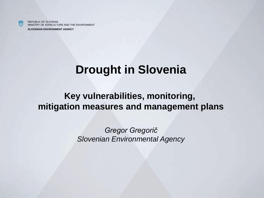**SLOVENIAN ENVIRONMENT AGENCY**

### **Drought in Slovenia**

#### **Key vulnerabilities, monitoring, mitigation measures and management plans**

*Gregor Gregorič Slovenian Environmental Agency*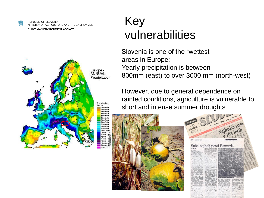**SLOVENIAN ENVIRONMENT AGENCY**



### Key vulnerabilities

Slovenia is one of the "wettest" areas in Europe; Yearly precipitation is between 800mm (east) to over 3000 mm (north-west)

However, due to general dependence on rainfed conditions, agriculture is vulnerable to short and intense summer droughts



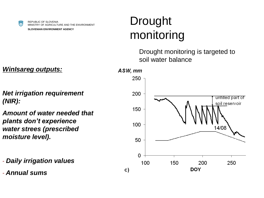**SLOVENIAN ENVIRONMENT AGENCY**

# Drought monitoring

Drought monitoring is targeted to soil water balance



*WinIsareg outputs:*

*Net irrigation requirement (NIR):* 

*Amount of water needed that plants don't experience water strees (prescribed moisture level).* 

- *Daily irrigation values*
- *Annual sums*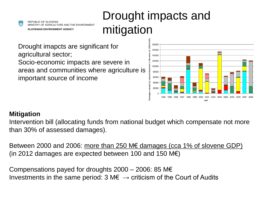REPUBLIC OF SLOVENIA MINISTRY OF AGRICULTURE AND THE ENVIRONMENT **SLOVENIAN ENVIRONMENT AGENCY**

## Drought impacts and mitigation

Drought imapcts are significant for agricultural sector; Socio-economic impacts are severe in areas and communities where agriculture is important source of income



#### **Mitigation**

Intervention bill (allocating funds from national budget which compensate not more than 30% of assessed damages).

Between 2000 and 2006: more than 250 M€ damages (cca 1% of slovene GDP) (in 2012 damages are expected between 100 and 150  $M\epsilon$ )

Compensations payed for droughts  $2000 - 2006$ : 85 M $\epsilon$ Investments in the same period: 3 M $\epsilon \rightarrow$  criticism of the Court of Audits